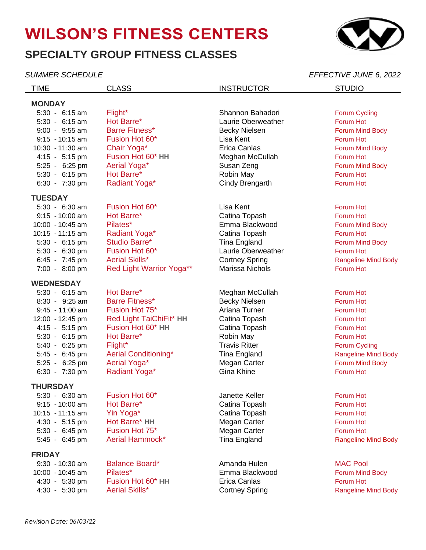# **WILSON'S FITNESS CENTERS**

## **SPECIALTY GROUP FITNESS CLASSES**

*SUMMER SCHEDULE EFFECTIVE JUNE 6, 2022* TIME CLASS CLASS INSTRUCTOR STUDIO **MONDAY** 5:30 - 6:15 am Flight\* Shannon Bahadori Forum Cycling 5:30 - 6:15 am Hot Barre\* Laurie Oberweather Forum Hot 9:00 - 9:55 am Barre Fitness\* Becky Nielsen Forum Mind Body 9:15 - 10:15 am Fusion Hot 60\* Lisa Kent Lisa Kent Forum Hot 10:30 - 11:30 am Chair Yoga\* The Erica Canlas Forum Mind Body 4:15 - 5:15 pm Fusion Hot 60\* **HH** Meghan McCullah Forum Hot 5:25 - 6:25 pm Aerial Yoga\* Susan Zeng Forum Mind Body 5:30 - 6:15 pm Hot Barre\* Robin May Forum Hot 6:30 - 7:30 pm Radiant Yoga\* Cindy Brengarth Forum Hot **TUESDAY** 5:30 - 6:30 am Fusion Hot 60<sup>\*</sup> Clisa Kent Forum Hot Forum Hot Forum Hot Forum Hot Forum Hot Forum Hot Forum Hot 9:15 - 10:00 am Hot Barre\* Catina Topash Forum Hot 10:00 - 10:45 am Pilates\* The Summa Blackwood Forum Mind Body 10:15 - 11:15 am Radiant Yoga\* Catina Topash Forum Hot 5:30 - 6:15 pm Studio Barre\* Tina England Forum Mind Body 5:30 - 6:30 pm Fusion Hot 60<sup>\*</sup> Function Laurie Oberweather Forum Hot Forum Hot 6:45 - 7:45 pm Aerial Skills\* Cortney Spring Cortney Spring Rangeline Mind Body 7:00 - 8:00 pm Red Light Warrior Yoga\*\* Marissa Nichols Forum Hot **WEDNESDAY** 5:30 - 6:15 am Hot Barre\* Meghan McCullah Forum Hot 8:30 - 9:25 am Barre Fitness\* Becky Nielsen Forum Hot 9:45 - 11:00 am Fusion Hot 75<sup>\*</sup> The Strip Ariana Turner The Forum Hot Forum Hot Ariana Turner The Strip Forum Hot 12:00 - 12:45 pm Red Light TaiChiFit\* **HH** Catina Topash Forum Hot 4:15 - 5:15 pm Fusion Hot 60\* **HH** Catina Topash Forum Hot 5:30 - 6:15 pm Hot Barre\* Robin May Forum Hot 5:40 - 6:25 pm Flight\* Travis Ritter Forum Cycling Forum Cycling 5:45 - 6:45 pm Aerial Conditioning\* Tina England The Rangeline Mind Body 5:25 - 6:25 pm Aerial Yoga\* The Megan Carter Carter Forum Mind Body 6:30 - 7:30 pm Radiant Yoga\* Gina Khine Forum Hot **THURSDAY** 5:30 - 6:30 am Fusion Hot 60\* Janette Keller Forum Hot 9:15 - 10:00 am Hot Barre\* Catina Topash Forum Hot 10:15 - 11:15 am Yin Yoga\* Catina Topash Forum Hot 4:30 - 5:15 pm Hot Barre\* HH Megan Carter Forum Hot 5:30 - 6:45 pm Fusion Hot 75<sup>\*</sup> The Megan Carter Forum Hot Forum Hot 5:45 - 6:45 pm Aerial Hammock\* Tina England Rangeline Mind Body **FRIDAY** 9:30 - 10:30 am Balance Board\* Amanda Hulen MAC Pool 10:00 - 10:45 am Pilates\* The Summa Blackwood Forum Mind Body 4:30 - 5:30 pm Fusion Hot 60\* **HH** Erica Canlas Forum Hot 4:30 - 5:30 pm Aerial Skills\* Cortney Spring Cortney Spring Rangeline Mind Body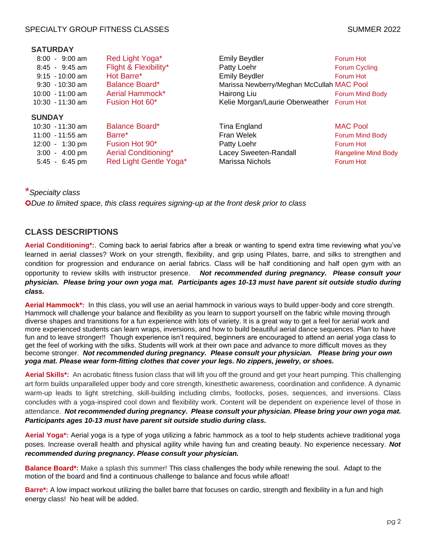#### SPECIALTY GROUP FITNESS CLASSES SUMMER 2022

#### **SATURDAY**

| $8:00 - 9:00$ am<br>$8:45 - 9:45$ am<br>$9:15 - 10:00$ am<br>$9:30 - 10:30$ am<br>$10:00 - 11:00$ am<br>$10:30 - 11:30$ am             | Red Light Yoga*<br>Flight & Flexibility*<br>Hot Barre*<br><b>Balance Board*</b><br>Aerial Hammock*<br>Fusion Hot 60* | <b>Emily Beydler</b><br>Patty Loehr<br><b>Emily Beydler</b><br>Marissa Newberry/Meghan McCullah MAC Pool<br>Hairong Liu<br>Kelie Morgan/Laurie Oberweather Forum Hot | Forum Hot<br><b>Forum Cycling</b><br>Forum Hot<br>Forum Mind Body                          |
|----------------------------------------------------------------------------------------------------------------------------------------|----------------------------------------------------------------------------------------------------------------------|----------------------------------------------------------------------------------------------------------------------------------------------------------------------|--------------------------------------------------------------------------------------------|
| <b>SUNDAY</b><br>$10:30 - 11:30$ am<br>$11:00 - 11:55$ am<br>$12:00 - 1:30 \text{ pm}$<br>$3:00 - 4:00 \text{ pm}$<br>$5:45 - 6:45$ pm | <b>Balance Board*</b><br>Barre*<br>Fusion Hot 90*<br>Aerial Conditioning*<br>Red Light Gentle Yoga*                  | Tina England<br>Fran Welek<br>Patty Loehr<br>Lacey Sweeten-Randall<br>Marissa Nichols                                                                                | <b>MAC Pool</b><br>Forum Mind Body<br>Forum Hot<br><b>Rangeline Mind Body</b><br>Forum Hot |

### \**Specialty class*

✪*Due to limited space, this class requires signing-up at the front desk prior to class*

#### **CLASS DESCRIPTIONS**

**Aerial Conditioning\*:**. Coming back to aerial fabrics after a break or wanting to spend extra time reviewing what you've learned in aerial classes? Work on your strength, flexibility, and grip using Pilates, barre, and silks to strengthen and condition for progression and endurance on aerial fabrics. Class will be half conditioning and half open gym with an opportunity to review skills with instructor presence. *Not recommended during pregnancy. Please consult your physician. Please bring your own yoga mat. Participants ages 10-13 must have parent sit outside studio during class.*

**Aerial Hammock\*:** In this class, you will use an aerial hammock in various ways to build upper-body and core strength. Hammock will challenge your balance and flexibility as you learn to support yourself on the fabric while moving through diverse shapes and transitions for a fun experience with lots of variety. It is a great way to get a feel for aerial work and more experienced students can learn wraps, inversions, and how to build beautiful aerial dance sequences. Plan to have fun and to leave stronger!! Though experience isn't required, beginners are encouraged to attend an aerial yoga class to get the feel of working with the silks. Students will work at their own pace and advance to more difficult moves as they become stronger. *Not recommended during pregnancy. Please consult your physician. Please bring your own yoga mat. Please wear form-fitting clothes that cover your legs. No zippers, jewelry, or shoes.*

**Aerial Skills\*:** An acrobatic fitness fusion class that will lift you off the ground and get your heart pumping. This challenging art form builds unparalleled upper body and core strength, kinesthetic awareness, coordination and confidence. A dynamic warm-up leads to light stretching, skill-building including climbs, footlocks, poses, sequences, and inversions. Class concludes with a yoga-inspired cool down and flexibility work. Content will be dependent on experience level of those in attendance. *Not recommended during pregnancy. Please consult your physician. Please bring your own yoga mat. Participants ages 10-13 must have parent sit outside studio during class.*

**Aerial Yoga\*:** Aerial yoga is a type of yoga utilizing a fabric hammock as a tool to help students achieve traditional yoga poses. Increase overall health and physical agility while having fun and creating beauty. No experience necessary. *Not recommended during pregnancy. Please consult your physician.*

**Balance Board\*:** Make a splash this summer! This class challenges the body while renewing the soul. Adapt to the motion of the board and find a continuous challenge to balance and focus while afloat!

**Barre\*:** A low impact workout utilizing the ballet barre that focuses on cardio, strength and flexibility in a fun and high energy class! No heat will be added.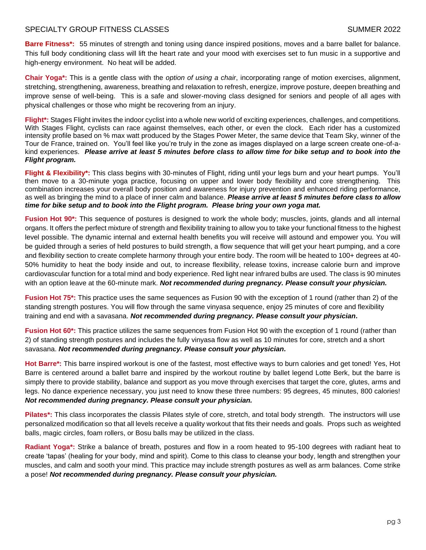#### SPECIALTY GROUP FITNESS CLASSES SUMMER 2022

**Barre Fitness\*:** 55 minutes of strength and toning using dance inspired positions, moves and a barre ballet for balance. This full body conditioning class will lift the heart rate and your mood with exercises set to fun music in a supportive and high-energy environment. No heat will be added.

**Chair Yoga\*:** This is a gentle class with the *option of using a chair*, incorporating range of motion exercises, alignment, stretching, strengthening, awareness, breathing and relaxation to refresh, energize, improve posture, deepen breathing and improve sense of well-being. This is a safe and slower-moving class designed for seniors and people of all ages with physical challenges or those who might be recovering from an injury.

**Flight\*:** Stages Flight invites the indoor cyclist into a whole new world of exciting experiences, challenges, and competitions. With Stages Flight, cyclists can race against themselves, each other, or even the clock. Each rider has a customized intensity profile based on % max watt produced by the Stages Power Meter, the same device that Team Sky, winner of the Tour de France, trained on. You'll feel like you're truly in the zone as images displayed on a large screen create one-of-akind experiences. *Please arrive at least 5 minutes before class to allow time for bike setup and to book into the Flight program.*

**Flight & Flexibility\*:** This class begins with 30-minutes of Flight, riding until your legs burn and your heart pumps. You'll then move to a 30-minute yoga practice, focusing on upper and lower body flexibility and core strengthening. This combination increases your overall body position and awareness for injury prevention and enhanced riding performance, as well as bringing the mind to a place of inner calm and balance. *Please arrive at least 5 minutes before class to allow time for bike setup and to book into the Flight program. Please bring your own yoga mat.*

**Fusion Hot 90\*:** This sequence of postures is designed to work the whole body; muscles, joints, glands and all internal organs. It offers the perfect mixture of strength and flexibility training to allow you to take your functional fitness to the highest level possible. The dynamic internal and external health benefits you will receive will astound and empower you. You will be guided through a series of held postures to build strength, a flow sequence that will get your heart pumping, and a core and flexibility section to create complete harmony through your entire body. The room will be heated to 100+ degrees at 40-50% humidity to heat the body inside and out, to increase flexibility, release toxins, increase calorie burn and improve cardiovascular function for a total mind and body experience. Red light near infrared bulbs are used. The class is 90 minutes with an option leave at the 60-minute mark. *Not recommended during pregnancy. Please consult your physician.*

**Fusion Hot 75\*:** This practice uses the same sequences as Fusion 90 with the exception of 1 round (rather than 2) of the standing strength postures. You will flow through the same vinyasa sequence, enjoy 25 minutes of core and flexibility training and end with a savasana. *Not recommended during pregnancy. Please consult your physician.*

**Fusion Hot 60\*:** This practice utilizes the same sequences from Fusion Hot 90 with the exception of 1 round (rather than 2) of standing strength postures and includes the fully vinyasa flow as well as 10 minutes for core, stretch and a short savasana. *Not recommended during pregnancy. Please consult your physician.*

**Hot Barre\*:** This barre inspired workout is one of the fastest, most effective ways to burn calories and get toned! Yes, Hot Barre is centered around a ballet barre and inspired by the workout routine by ballet legend Lotte Berk, but the barre is simply there to provide stability, balance and support as you move through exercises that target the core, glutes, arms and legs. No dance experience necessary, you just need to know these three numbers: 95 degrees, 45 minutes, 800 calories! *Not recommended during pregnancy. Please consult your physician.*

**Pilates\*:** This class incorporates the classis Pilates style of core, stretch, and total body strength. The instructors will use personalized modification so that all levels receive a quality workout that fits their needs and goals. Props such as weighted balls, magic circles, foam rollers, or Bosu balls may be utilized in the class.

**Radiant Yoga\*:** Strike a balance of breath, postures and flow in a room heated to 95-100 degrees with radiant heat to create 'tapas' (healing for your body, mind and spirit). Come to this class to cleanse your body, length and strengthen your muscles, and calm and sooth your mind. This practice may include strength postures as well as arm balances. Come strike a pose! *Not recommended during pregnancy. Please consult your physician.*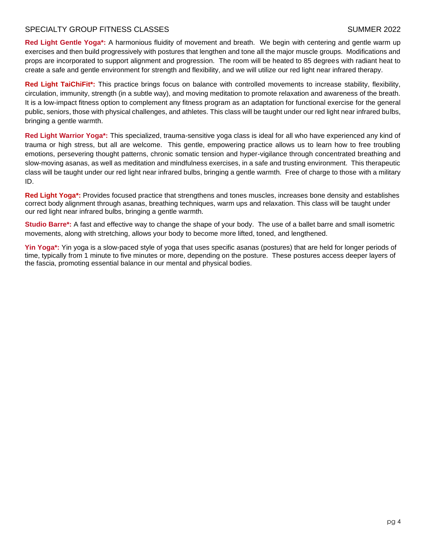#### SPECIALTY GROUP FITNESS CLASSES SUMMER 2022

**Red Light Gentle Yoga\*:** A harmonious fluidity of movement and breath. We begin with centering and gentle warm up exercises and then build progressively with postures that lengthen and tone all the major muscle groups. Modifications and props are incorporated to support alignment and progression. The room will be heated to 85 degrees with radiant heat to create a safe and gentle environment for strength and flexibility, and we will utilize our red light near infrared therapy.

**Red Light TaiChiFit\*:** This practice brings focus on balance with controlled movements to increase stability, flexibility, circulation, immunity, strength (in a subtle way), and moving meditation to promote relaxation and awareness of the breath. It is a low-impact fitness option to complement any fitness program as an adaptation for functional exercise for the general public, seniors, those with physical challenges, and athletes. This class will be taught under our red light near infrared bulbs, bringing a gentle warmth.

**Red Light Warrior Yoga\*:** This specialized, trauma-sensitive yoga class is ideal for all who have experienced any kind of trauma or high stress, but all are welcome. This gentle, empowering practice allows us to learn how to free troubling emotions, persevering thought patterns, chronic somatic tension and hyper-vigilance through concentrated breathing and slow-moving asanas, as well as meditation and mindfulness exercises, in a safe and trusting environment. This therapeutic class will be taught under our red light near infrared bulbs, bringing a gentle warmth. Free of charge to those with a military ID.

**Red Light Yoga\*:** Provides focused practice that strengthens and tones muscles, increases bone density and establishes correct body alignment through asanas, breathing techniques, warm ups and relaxation. This class will be taught under our red light near infrared bulbs, bringing a gentle warmth.

**Studio Barre\*:** A fast and effective way to change the shape of your body. The use of a ballet barre and small isometric movements, along with stretching, allows your body to become more lifted, toned, and lengthened.

**Yin Yoga\*:** Yin yoga is a slow-paced style of yoga that uses specific asanas (postures) that are held for longer periods of time, typically from 1 minute to five minutes or more, depending on the posture. These postures access deeper layers of the fascia, promoting essential balance in our mental and physical bodies.